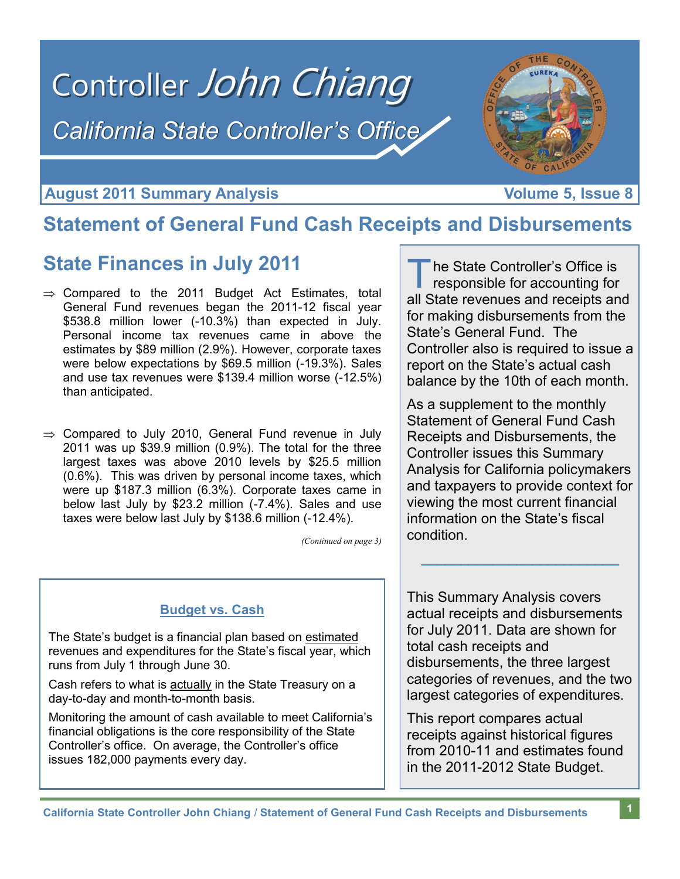

### **August 2011 Summary Analysis Construction Construction Construction Volume 5, Issue 8**

## **Statement of General Fund Cash Receipts and Disbursements**

## **State Finances in July 2011**

- $\Rightarrow$  Compared to the 2011 Budget Act Estimates, total General Fund revenues began the 2011-12 fiscal year \$538.8 million lower (-10.3%) than expected in July. Personal income tax revenues came in above the estimates by \$89 million (2.9%). However, corporate taxes were below expectations by \$69.5 million (-19.3%). Sales and use tax revenues were \$139.4 million worse (-12.5%) than anticipated.
- $\Rightarrow$  Compared to July 2010, General Fund revenue in July 2011 was up \$39.9 million (0.9%). The total for the three largest taxes was above 2010 levels by \$25.5 million (0.6%). This was driven by personal income taxes, which were up \$187.3 million (6.3%). Corporate taxes came in below last July by \$23.2 million (-7.4%). Sales and use taxes were below last July by \$138.6 million (-12.4%).

*(Continued on page 3)*

### **Budget vs. Cash**

The State's budget is a financial plan based on estimated revenues and expenditures for the State's fiscal year, which runs from July 1 through June 30.

Cash refers to what is actually in the State Treasury on a day-to-day and month-to-month basis.

Monitoring the amount of cash available to meet California's financial obligations is the core responsibility of the State Controller's office. On average, the Controller's office issues 182,000 payments every day.

T he State Controller's Office is responsible for accounting for all State revenues and receipts and for making disbursements from the State's General Fund. The Controller also is required to issue a report on the State's actual cash balance by the 10th of each month.

As a supplement to the monthly Statement of General Fund Cash Receipts and Disbursements, the Controller issues this Summary Analysis for California policymakers and taxpayers to provide context for viewing the most current financial information on the State's fiscal condition.

This Summary Analysis covers actual receipts and disbursements for July 2011. Data are shown for total cash receipts and disbursements, the three largest categories of revenues, and the two largest categories of expenditures.

 $\mathcal{L}_\mathcal{L}$  , where  $\mathcal{L}_\mathcal{L}$  , we have the set of the set of the set of the set of the set of the set of the set of the set of the set of the set of the set of the set of the set of the set of the set of the set

This report compares actual receipts against historical figures from 2010-11 and estimates found in the 2011-2012 State Budget.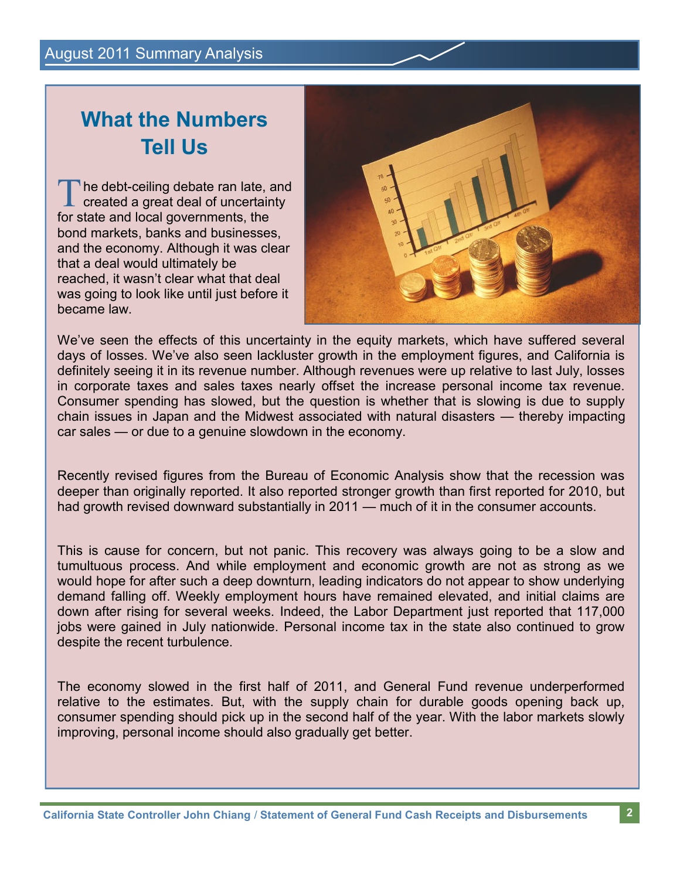# **What the Numbers Tell Us**

The debt-ceiling debate ran late, and<br>created a great deal of uncertainty he debt-ceiling debate ran late, and for state and local governments, the bond markets, banks and businesses, and the economy. Although it was clear that a deal would ultimately be reached, it wasn't clear what that deal was going to look like until just before it became law.



We've seen the effects of this uncertainty in the equity markets, which have suffered several days of losses. We've also seen lackluster growth in the employment figures, and California is definitely seeing it in its revenue number. Although revenues were up relative to last July, losses in corporate taxes and sales taxes nearly offset the increase personal income tax revenue. Consumer spending has slowed, but the question is whether that is slowing is due to supply chain issues in Japan and the Midwest associated with natural disasters — thereby impacting car sales — or due to a genuine slowdown in the economy.

Recently revised figures from the Bureau of Economic Analysis show that the recession was deeper than originally reported. It also reported stronger growth than first reported for 2010, but had growth revised downward substantially in 2011 — much of it in the consumer accounts.

This is cause for concern, but not panic. This recovery was always going to be a slow and tumultuous process. And while employment and economic growth are not as strong as we would hope for after such a deep downturn, leading indicators do not appear to show underlying demand falling off. Weekly employment hours have remained elevated, and initial claims are down after rising for several weeks. Indeed, the Labor Department just reported that 117,000 jobs were gained in July nationwide. Personal income tax in the state also continued to grow despite the recent turbulence.

The economy slowed in the first half of 2011, and General Fund revenue underperformed relative to the estimates. But, with the supply chain for durable goods opening back up, consumer spending should pick up in the second half of the year. With the labor markets slowly improving, personal income should also gradually get better.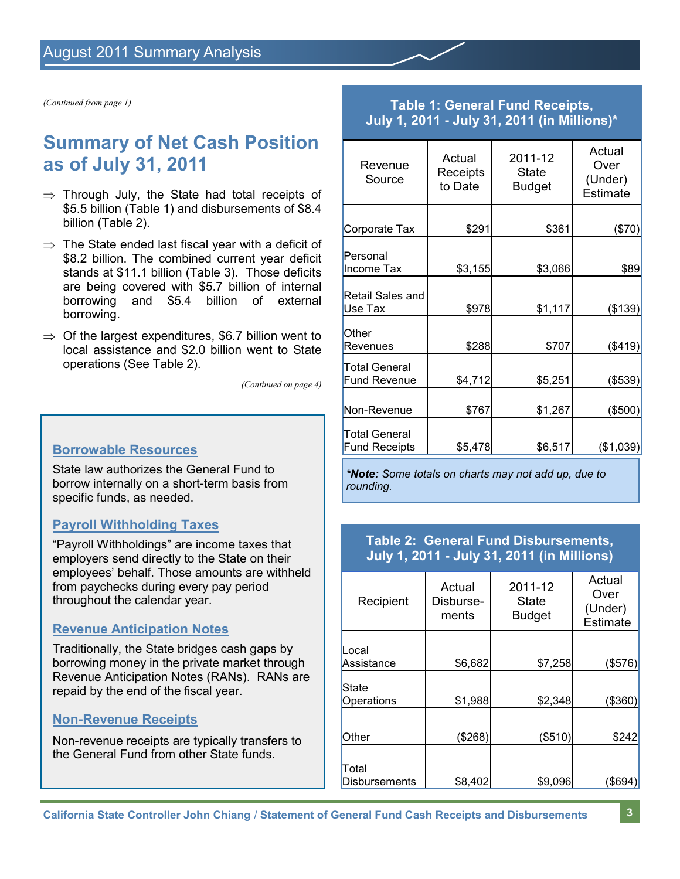*(Continued from page 1)*

## **Summary of Net Cash Position as of July 31, 2011**

- $\Rightarrow$  Through July, the State had total receipts of \$5.5 billion (Table 1) and disbursements of \$8.4 billion (Table 2).
- $\Rightarrow$  The State ended last fiscal year with a deficit of \$8.2 billion. The combined current year deficit stands at \$11.1 billion (Table 3). Those deficits are being covered with \$5.7 billion of internal borrowing and \$5.4 billion of external borrowing.
- $\Rightarrow$  Of the largest expenditures, \$6.7 billion went to local assistance and \$2.0 billion went to State operations (See Table 2).

*(Continued on page 4)*

### **Borrowable Resources**

State law authorizes the General Fund to borrow internally on a short-term basis from specific funds, as needed.

### **Payroll Withholding Taxes**

"Payroll Withholdings" are income taxes that employers send directly to the State on their employees' behalf. Those amounts are withheld from paychecks during every pay period throughout the calendar year.

### **Revenue Anticipation Notes**

Traditionally, the State bridges cash gaps by borrowing money in the private market through Revenue Anticipation Notes (RANs). RANs are repaid by the end of the fiscal year.

### **Non-Revenue Receipts**

Non-revenue receipts are typically transfers to the General Fund from other State funds.

### **Table 1: General Fund Receipts, July 1, 2011 - July 31, 2011 (in Millions)\***

| Revenue<br>Source                           | Actual<br>Receipts<br>to Date | 2011-12<br><b>State</b><br><b>Budget</b> | Actual<br>Over<br>(Under)<br><b>Estimate</b> |
|---------------------------------------------|-------------------------------|------------------------------------------|----------------------------------------------|
| Corporate Tax                               | \$291                         | \$361                                    | (\$70)                                       |
| Personal<br>Income Tax                      | \$3,155                       | \$3,066                                  | \$89                                         |
| Retail Sales and<br>Use Tax                 | \$978                         | \$1,117                                  | (\$139)                                      |
| Other<br>Revenues                           | \$288                         | \$707                                    | (\$419)                                      |
| <b>Total General</b><br><b>Fund Revenue</b> | \$4,712                       | \$5,251                                  | (\$539)                                      |
| Non-Revenue                                 | \$767                         | \$1,267                                  | (\$500)                                      |
| Total General<br><b>Fund Receipts</b>       | \$5,478                       | \$6,517                                  | (\$1,039)                                    |

*\*Note: Some totals on charts may not add up, due to rounding.*

### **Table 2: General Fund Disbursements, July 1, 2011 - July 31, 2011 (in Millions)**

| Recipient                     | Actual<br>Disburse-<br>ments | 2011-12<br><b>State</b><br><b>Budget</b> | Actual<br>Over<br>(Under)<br>Estimate |
|-------------------------------|------------------------------|------------------------------------------|---------------------------------------|
| Local<br>Assistance           | \$6,682                      | \$7,258                                  | (\$576)                               |
| <b>State</b><br>Operations    | \$1,988                      | \$2,348                                  | \$360)                                |
| Other                         | \$268)                       | (\$510)                                  | \$242                                 |
| Total<br><b>Disbursements</b> | \$8,402                      | \$9,096                                  | (\$694)                               |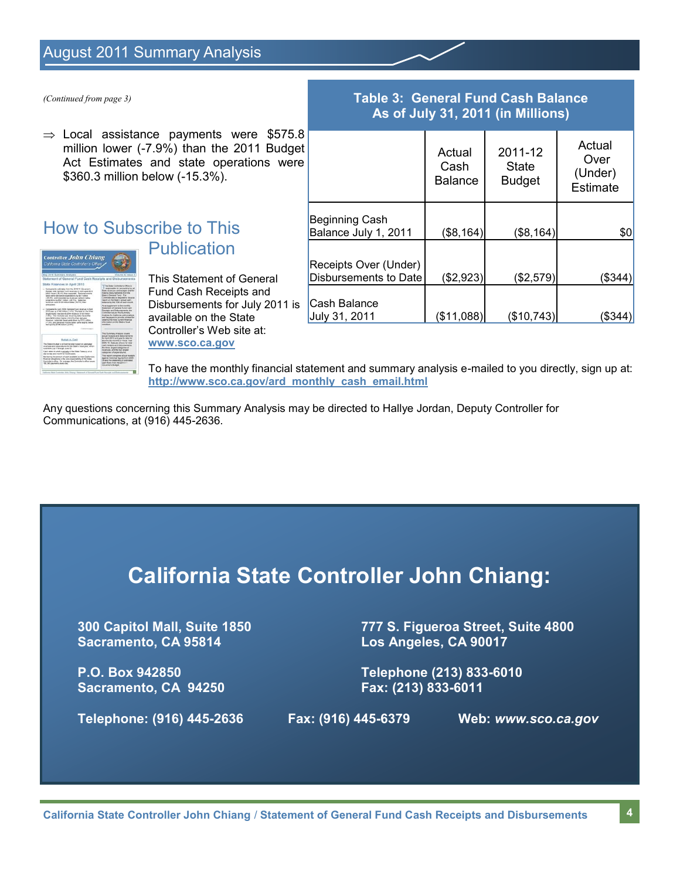### August 2011 Summary Analysis

 $\Rightarrow$  Local assistance payments were \$575.8 million lower (-7.9%) than the 2011 Budget Act Estimates and state operations were \$360.3 million below (-15.3%).

### How to Subscribe to This **Publication**



This Statement of General Fund Cash Receipts and Disbursements for July 2011 is available on the State Controller's Web site at: **www.sco.ca.gov**

### *(Continued from page 3)* **Table 3: General Fund Cash Balance As of July 31, 2011 (in Millions)**

|                                                | Actual<br>Cash<br><b>Balance</b> | 2011-12<br><b>State</b><br><b>Budget</b> | Actual<br>Over<br>(Under)<br>Estimate |
|------------------------------------------------|----------------------------------|------------------------------------------|---------------------------------------|
| Beginning Cash<br>Balance July 1, 2011         | (\$8,164)                        | (\$8,164)                                | \$0                                   |
| Receipts Over (Under)<br>Disbursements to Date | (\$2,923)                        | (\$2,579)                                | (\$344)                               |
| Cash Balance<br>July 31, 2011                  | (\$11,088)                       | (\$10,743)                               | 834'                                  |

To have the monthly financial statement and summary analysis e-mailed to you directly, sign up at: **http://www.sco.ca.gov/ard\_monthly\_cash\_email.html**

Any questions concerning this Summary Analysis may be directed to Hallye Jordan, Deputy Controller for Communications, at (916) 445-2636.

# **California State Controller John Chiang:**

**Sacramento, CA 95814 Los Angeles, CA 90017**

**Sacramento, CA 94250 Fax: (213) 833-6011**

**300 Capitol Mall, Suite 1850 777 S. Figueroa Street, Suite 4800**

**P.O. Box 942850 Telephone (213) 833-6010**

**Telephone: (916) 445-2636 Fax: (916) 445-6379 Web:** *www.sco.ca.gov*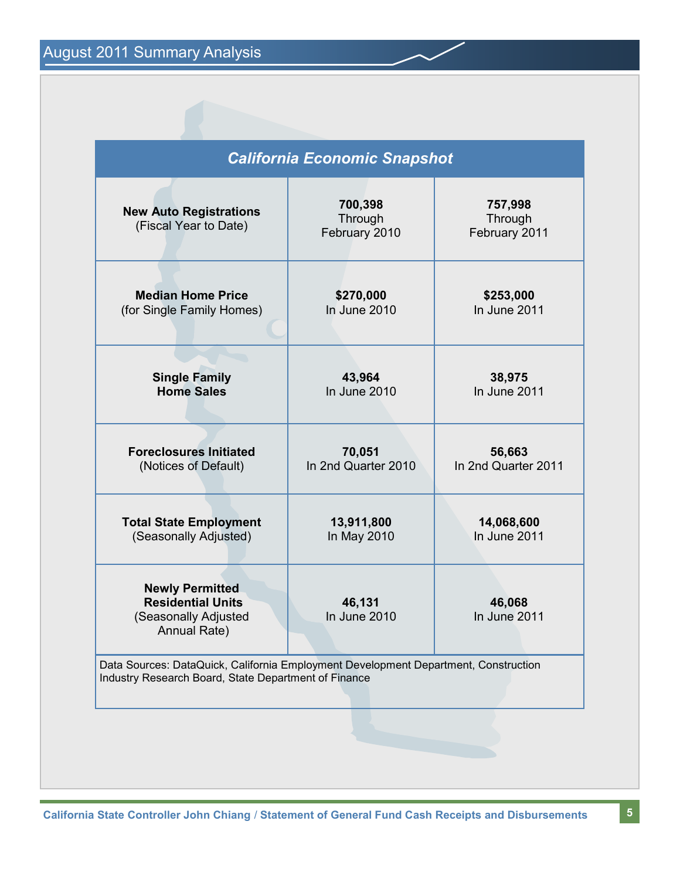August 2011 Summary Analysis

| 700,398<br><b>New Auto Registrations</b><br>Through<br>(Fiscal Year to Date)<br>February 2010<br><b>Median Home Price</b><br>\$270,000<br>In June 2010<br>(for Single Family Homes)<br><b>Single Family</b><br>43,964<br><b>Home Sales</b><br>In June 2010<br><b>Foreclosures Initiated</b><br>70,051<br>In 2nd Quarter 2010<br>(Notices of Default)<br>13,911,800<br><b>Total State Employment</b><br>(Seasonally Adjusted)<br>In May 2010<br><b>Newly Permitted</b><br><b>Residential Units</b><br>46,131 |                                     | <b>California Economic Snapshot</b> |                     |
|-------------------------------------------------------------------------------------------------------------------------------------------------------------------------------------------------------------------------------------------------------------------------------------------------------------------------------------------------------------------------------------------------------------------------------------------------------------------------------------------------------------|-------------------------------------|-------------------------------------|---------------------|
|                                                                                                                                                                                                                                                                                                                                                                                                                                                                                                             | 757,998<br>Through<br>February 2011 |                                     |                     |
|                                                                                                                                                                                                                                                                                                                                                                                                                                                                                                             | \$253,000<br>In June 2011           |                                     |                     |
|                                                                                                                                                                                                                                                                                                                                                                                                                                                                                                             | 38,975<br>In June 2011              |                                     |                     |
|                                                                                                                                                                                                                                                                                                                                                                                                                                                                                                             | 56,663<br>In 2nd Quarter 2011       |                                     |                     |
|                                                                                                                                                                                                                                                                                                                                                                                                                                                                                                             | 14,068,600<br>In June 2011          |                                     |                     |
| Annual Rate)                                                                                                                                                                                                                                                                                                                                                                                                                                                                                                | 46,068<br>In June 2011              | In June 2010                        | Seasonally Adjusted |
| Data Sources: DataQuick, California Employment Development Department, Construction<br>Industry Research Board, State Department of Finance                                                                                                                                                                                                                                                                                                                                                                 |                                     |                                     |                     |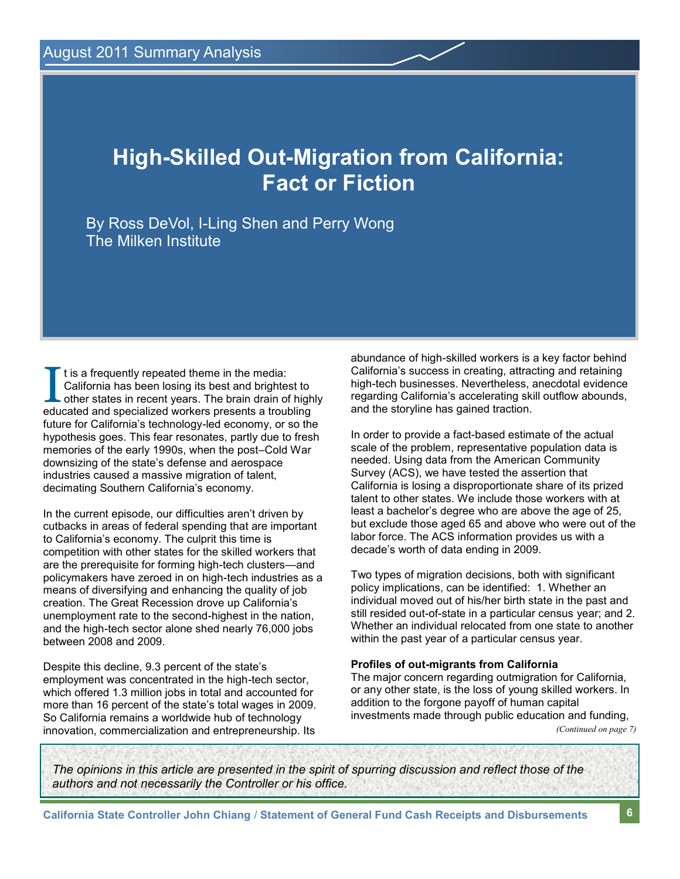# **High-Skilled Out-Migration from California: Fact or Fiction**

By Ross DeVol, I-Ling Shen and Perry Wong The Milken Institute

It is a frequently repeated theme in the media:<br>California has been losing its best and brightest to<br>other states in recent years. The brain drain of high<br>educated and specialized workers presents a troubling t is a frequently repeated theme in the media: California has been losing its best and brightest to other states in recent years. The brain drain of highly future for California's technology-led economy, or so the hypothesis goes. This fear resonates, partly due to fresh memories of the early 1990s, when the post–Cold War downsizing of the state's defense and aerospace industries caused a massive migration of talent, decimating Southern California's economy.

In the current episode, our difficulties aren't driven by cutbacks in areas of federal spending that are important to California's economy. The culprit this time is competition with other states for the skilled workers that are the prerequisite for forming high-tech clusters—and policymakers have zeroed in on high-tech industries as a means of diversifying and enhancing the quality of job creation. The Great Recession drove up California's unemployment rate to the second-highest in the nation, and the high-tech sector alone shed nearly 76,000 jobs between 2008 and 2009.

Despite this decline, 9.3 percent of the state's employment was concentrated in the high-tech sector, which offered 1.3 million jobs in total and accounted for more than 16 percent of the state's total wages in 2009. So California remains a worldwide hub of technology innovation, commercialization and entrepreneurship. Its abundance of high-skilled workers is a key factor behind California's success in creating, attracting and retaining high-tech businesses. Nevertheless, anecdotal evidence regarding California's accelerating skill outflow abounds, and the storyline has gained traction.

In order to provide a fact-based estimate of the actual scale of the problem, representative population data is needed. Using data from the American Community Survey (ACS), we have tested the assertion that California is losing a disproportionate share of its prized talent to other states. We include those workers with at least a bachelor's degree who are above the age of 25, but exclude those aged 65 and above who were out of the labor force. The ACS information provides us with a decade's worth of data ending in 2009.

Two types of migration decisions, both with significant policy implications, can be identified: 1. Whether an individual moved out of his/her birth state in the past and still resided out-of-state in a particular census year; and 2. Whether an individual relocated from one state to another within the past year of a particular census year.

#### **Profiles of out-migrants from California**

The major concern regarding outmigration for California, or any other state, is the loss of young skilled workers. In addition to the forgone payoff of human capital investments made through public education and funding, *(Continued on page 7)*

*The opinions in this article are presented in the spirit of spurring discussion and reflect those of the authors and not necessarily the Controller or his office.*